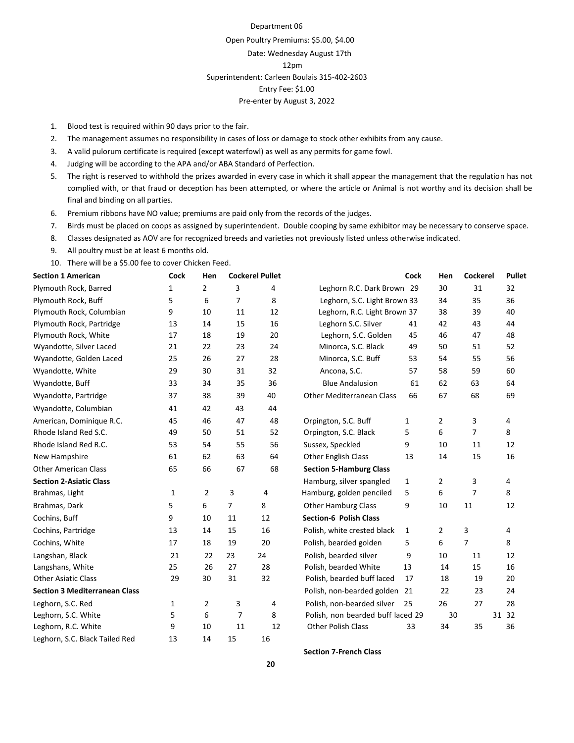Department 06

Open Poultry Premiums: \$5.00, \$4.00 Date: Wednesday August 17th 12pm Superintendent: Carleen Boulais 315-402-2603 Entry Fee: \$1.00 Pre-enter by August 3, 2022

- 1. Blood test is required within 90 days prior to the fair.
- 2. The management assumes no responsibility in cases of loss or damage to stock other exhibits from any cause.
- 3. A valid pulorum certificate is required (except waterfowl) as well as any permits for game fowl.
- 4. Judging will be according to the APA and/or ABA Standard of Perfection.
- 5. The right is reserved to withhold the prizes awarded in every case in which it shall appear the management that the regulation has not complied with, or that fraud or deception has been attempted, or where the article or Animal is not worthy and its decision shall be final and binding on all parties.
- 6. Premium ribbons have NO value; premiums are paid only from the records of the judges.
- 7. Birds must be placed on coops as assigned by superintendent. Double cooping by same exhibitor may be necessary to conserve space.
- 8. Classes designated as AOV are for recognized breeds and varieties not previously listed unless otherwise indicated.
- 9. All poultry must be at least 6 months old.
- 10. There will be a \$5.00 fee to cover Chicken Feed.

| <b>Section 1 American</b>            | <b>Cockerel Pullet</b><br><b>Cock</b><br>Hen |                | <b>Cock</b>    | Hen | Cockerel                          | <b>Pullet</b> |                |                |       |
|--------------------------------------|----------------------------------------------|----------------|----------------|-----|-----------------------------------|---------------|----------------|----------------|-------|
| Plymouth Rock, Barred                | 1                                            | $\overline{2}$ | 3              | 4   | Leghorn R.C. Dark Brown 29        |               | 30             | 31             | 32    |
| Plymouth Rock, Buff                  | 5                                            | 6              | $\overline{7}$ | 8   | Leghorn, S.C. Light Brown 33      |               | 34             | 35             | 36    |
| Plymouth Rock, Columbian             | 9                                            | 10             | 11             | 12  | Leghorn, R.C. Light Brown 37      |               | 38             | 39             | 40    |
| Plymouth Rock, Partridge             | 13                                           | 14             | 15             | 16  | Leghorn S.C. Silver               | 41            | 42             | 43             | 44    |
| Plymouth Rock, White                 | 17                                           | 18             | 19             | 20  | Leghorn, S.C. Golden              | 45            | 46             | 47             | 48    |
| Wyandotte, Silver Laced              | 21                                           | 22             | 23             | 24  | Minorca, S.C. Black               | 49            | 50             | 51             | 52    |
| Wyandotte, Golden Laced              | 25                                           | 26             | 27             | 28  | Minorca, S.C. Buff                | 53            | 54             | 55             | 56    |
| Wyandotte, White                     | 29                                           | 30             | 31             | 32  | Ancona, S.C.                      | 57            | 58             | 59             | 60    |
| Wyandotte, Buff                      | 33                                           | 34             | 35             | 36  | <b>Blue Andalusion</b>            | 61            | 62             | 63             | 64    |
| Wyandotte, Partridge                 | 37                                           | 38             | 39             | 40  | <b>Other Mediterranean Class</b>  | 66            | 67             | 68             | 69    |
| Wyandotte, Columbian                 | 41                                           | 42             | 43             | 44  |                                   |               |                |                |       |
| American, Dominique R.C.             | 45                                           | 46             | 47             | 48  | Orpington, S.C. Buff              | $\mathbf{1}$  | 2              | 3              | 4     |
| Rhode Island Red S.C.                | 49                                           | 50             | 51             | 52  | Orpington, S.C. Black             | 5             | 6              | $\overline{7}$ | 8     |
| Rhode Island Red R.C.                | 53                                           | 54             | 55             | 56  | Sussex, Speckled                  | 9             | 10             | 11             | 12    |
| New Hampshire                        | 61                                           | 62             | 63             | 64  | Other English Class               | 13            | 14             | 15             | 16    |
| <b>Other American Class</b>          | 65                                           | 66             | 67             | 68  | <b>Section 5-Hamburg Class</b>    |               |                |                |       |
| <b>Section 2-Asiatic Class</b>       |                                              |                |                |     | Hamburg, silver spangled          | $\mathbf{1}$  | $\overline{2}$ | 3              | 4     |
| Brahmas, Light                       | 1                                            | $\overline{2}$ | 3              | 4   | Hamburg, golden penciled          | 5             | 6              | $\overline{7}$ | 8     |
| Brahmas, Dark                        | 5                                            | 6              | $\overline{7}$ | 8   | <b>Other Hamburg Class</b>        | 9             | 10             | 11             | 12    |
| Cochins, Buff                        | 9                                            | 10             | 11             | 12  | <b>Section-6 Polish Class</b>     |               |                |                |       |
| Cochins, Partridge                   | 13                                           | 14             | 15             | 16  | Polish, white crested black       | 1             | 2              | 3              | 4     |
| Cochins, White                       | 17                                           | 18             | 19             | 20  | Polish, bearded golden            | 5             | 6              | $\overline{7}$ | 8     |
| Langshan, Black                      | 21                                           | 22             | 23             | 24  | Polish, bearded silver            | 9             | 10             | 11             | 12    |
| Langshans, White                     | 25                                           | 26             | 27             | 28  | Polish, bearded White             | 13            | 14             | 15             | 16    |
| <b>Other Asiatic Class</b>           | 29                                           | 30             | 31             | 32  | Polish, bearded buff laced        | 17            | 18             | 19             | 20    |
| <b>Section 3 Mediterranean Class</b> |                                              |                |                |     | Polish, non-bearded golden 21     |               | 22             | 23             | 24    |
| Leghorn, S.C. Red                    | 1                                            | 2              | 3              | 4   | Polish, non-bearded silver        | 25            | 26             | 27             | 28    |
| Leghorn, S.C. White                  | 5                                            | 6              | $\overline{7}$ | 8   | Polish, non bearded buff laced 29 |               | 30             |                | 31 32 |
| Leghorn, R.C. White                  | 9                                            | 10             | 11             | 12  | <b>Other Polish Class</b>         | 33            | 34             | 35             | 36    |
| Leghorn, S.C. Black Tailed Red       | 13                                           | 14             | 15             | 16  |                                   |               |                |                |       |

**Section 7-French Class**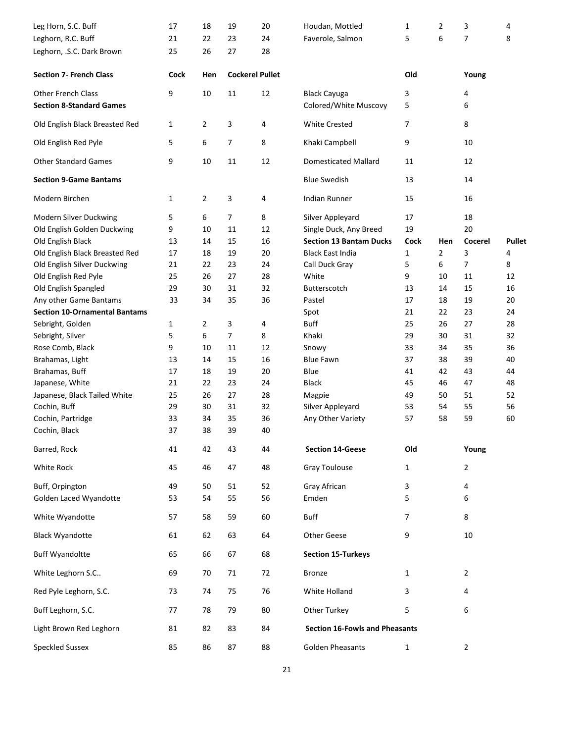| Leg Horn, S.C. Buff                  | 17   | 18             | 19             | 20                     | Houdan, Mottled                       | 1            | $\overline{2}$ | 3              | 4             |
|--------------------------------------|------|----------------|----------------|------------------------|---------------------------------------|--------------|----------------|----------------|---------------|
| Leghorn, R.C. Buff                   | 21   | 22             | 23             | 24                     | Faverole, Salmon                      | 5            | 6              | 7              | 8             |
| Leghorn, .S.C. Dark Brown            | 25   | 26             | 27             | 28                     |                                       |              |                |                |               |
| <b>Section 7- French Class</b>       | Cock | Hen            |                | <b>Cockerel Pullet</b> |                                       | Old          |                | Young          |               |
| <b>Other French Class</b>            | 9    | 10             | 11             | 12                     | <b>Black Cayuga</b>                   | 3            |                | 4              |               |
| <b>Section 8-Standard Games</b>      |      |                |                |                        | Colored/White Muscovy                 | 5            |                | 6              |               |
| Old English Black Breasted Red       | 1    | 2              | 3              | 4                      | <b>White Crested</b>                  | 7            |                | 8              |               |
| Old English Red Pyle                 | 5    | 6              | $\overline{7}$ | 8                      | Khaki Campbell                        | 9            |                | 10             |               |
| <b>Other Standard Games</b>          | 9    | 10             | 11             | 12                     | <b>Domesticated Mallard</b>           | 11           |                | 12             |               |
| <b>Section 9-Game Bantams</b>        |      |                |                |                        | <b>Blue Swedish</b>                   | 13           |                | 14             |               |
| Modern Birchen                       | 1    | $\overline{2}$ | 3              | 4                      | <b>Indian Runner</b>                  | 15           |                | 16             |               |
| Modern Silver Duckwing               | 5    | 6              | $\overline{7}$ | 8                      | Silver Appleyard                      | 17           |                | 18             |               |
| Old English Golden Duckwing          | 9    | 10             | 11             | 12                     | Single Duck, Any Breed                | 19           |                | 20             |               |
| Old English Black                    | 13   | 14             | 15             | 16                     | <b>Section 13 Bantam Ducks</b>        | <b>Cock</b>  | Hen            | Cocerel        | <b>Pullet</b> |
| Old English Black Breasted Red       | 17   | 18             | 19             | 20                     | <b>Black East India</b>               | 1            | 2              | 3              | 4             |
| Old English Silver Duckwing          | 21   | 22             | 23             | 24                     | Call Duck Gray                        | 5            | 6              | 7              | 8             |
| Old English Red Pyle                 | 25   | 26             | 27             | 28                     | White                                 | 9            | 10             | 11             | 12            |
| Old English Spangled                 | 29   | 30             | 31             | 32                     | Butterscotch                          | 13           | 14             | 15             | 16            |
| Any other Game Bantams               | 33   | 34             | 35             | 36                     | Pastel                                | 17           | 18             | 19             | 20            |
| <b>Section 10-Ornamental Bantams</b> |      |                |                |                        | Spot                                  | 21           | 22             | 23             | 24            |
| Sebright, Golden                     | 1    | $\overline{2}$ | 3              | 4                      | <b>Buff</b>                           | 25           | 26             | 27             | 28            |
| Sebright, Silver                     | 5    | 6              | 7              | 8                      | Khaki                                 | 29           | 30             | 31             | 32            |
|                                      |      |                |                |                        |                                       |              |                |                |               |
| Rose Comb, Black                     | 9    | 10             | 11             | 12                     | Snowy                                 | 33           | 34             | 35             | 36            |
| Brahamas, Light                      | 13   | 14             | 15             | 16                     | <b>Blue Fawn</b>                      | 37           | 38             | 39             | 40            |
| Brahamas, Buff                       | 17   | 18             | 19             | 20                     | Blue                                  | 41           | 42             | 43             | 44            |
| Japanese, White                      | 21   | 22             | 23             | 24                     | <b>Black</b>                          | 45           | 46             | 47             | 48            |
| Japanese, Black Tailed White         | 25   | 26             | 27             | 28                     | Magpie                                | 49           | 50             | 51             | 52            |
| Cochin, Buff                         | 29   | 30             | 31             | 32                     | Silver Appleyard                      | 53           | 54             | 55             | 56            |
| Cochin, Partridge                    | 33   | 34             | 35             | 36                     | Any Other Variety                     | 57           | 58             | 59             | 60            |
| Cochin, Black                        | 37   | 38             | 39             | 40                     |                                       |              |                |                |               |
| Barred, Rock                         | 41   | 42             | 43             | 44                     | <b>Section 14-Geese</b>               | Old          |                | Young          |               |
| White Rock                           | 45   | 46             | 47             | 48                     | <b>Gray Toulouse</b>                  | $\mathbf{1}$ |                | $\overline{2}$ |               |
| Buff, Orpington                      | 49   | 50             | 51             | 52                     | Gray African                          | 3            |                | 4              |               |
| Golden Laced Wyandotte               | 53   | 54             | 55             | 56                     | Emden                                 | 5            |                | 6              |               |
| White Wyandotte                      | 57   | 58             | 59             | 60                     | <b>Buff</b>                           | 7            |                | 8              |               |
| <b>Black Wyandotte</b>               | 61   | 62             | 63             | 64                     | <b>Other Geese</b>                    | 9            |                | 10             |               |
| <b>Buff Wyandoltte</b>               | 65   | 66             | 67             | 68                     | <b>Section 15-Turkeys</b>             |              |                |                |               |
| White Leghorn S.C                    | 69   | 70             | 71             | 72                     | <b>Bronze</b>                         | 1            |                | $\overline{2}$ |               |
| Red Pyle Leghorn, S.C.               | 73   | 74             | 75             | 76                     | White Holland                         | 3            |                | 4              |               |
| Buff Leghorn, S.C.                   | 77   | 78             | 79             | 80                     | Other Turkey                          | 5            |                | 6              |               |
| Light Brown Red Leghorn              | 81   | 82             | 83             | 84                     | <b>Section 16-Fowls and Pheasants</b> |              |                |                |               |
| <b>Speckled Sussex</b>               | 85   | 86             | 87             | 88                     | <b>Golden Pheasants</b>               | $\mathbf{1}$ |                | 2              |               |